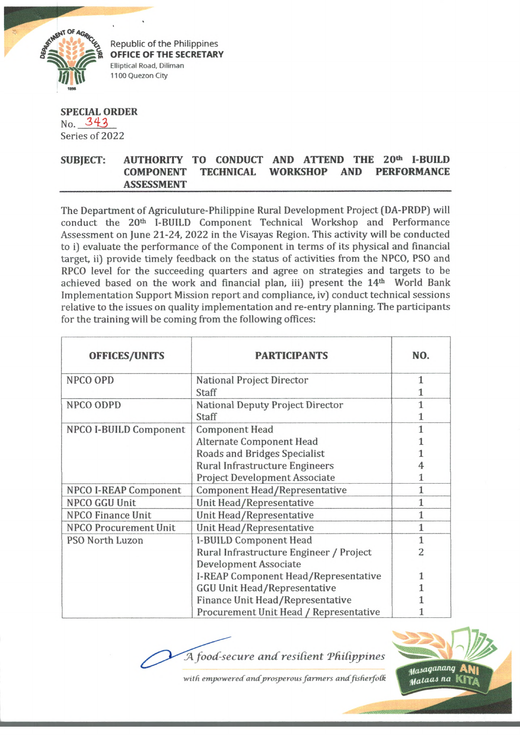

Republic of the Philippines OFFICE OF THE SECRETARY Elliptical Road, Diliman 1100 Quezon City

**SPECIAL ORDER** No. 343 Series of 2022

## SUBJECT: AUTHORITY TO CONDUCT AND ATTEND THE 20<sup>th</sup> I-BUILD **COMPONENT TECHNICAL WORKSHOP AND PERFORMANCE ASSESSMENT**

The Department of Agriculuture-Philippine Rural Development Project (DA-PRDP) will conduct the 20th 1-BUILD Component Technical Workshop and Performance Assessment on June 21-24, 2022 in the Visayas Region. This activity will be conducted to i) evaluate the performance of the Component in terms of its physical and financial target, ii) provide timely feedback on the status of activities from the NPCO, PSO and RPCO level for the succeeding quarters and agree on strategies and targets to be achieved based on the work and financial plan, iii) present the 14<sup>th</sup> World Bank Implementation Support Mission report and compliance, iv) conduct technical sessions relative to the issues on quality implementation and re-entry planning. The participants for the training will be coming from the following offices:

| <b>OFFICES/UNITS</b>         | <b>PARTICIPANTS</b>                     | NO.          |
|------------------------------|-----------------------------------------|--------------|
| NPCO OPD                     | National Project Director               | 1            |
|                              | Staff                                   |              |
| NPCO ODPD                    | National Deputy Project Director        | 1            |
|                              | Staff                                   | 1            |
| NPCO I-BUILD Component       | <b>Component Head</b>                   | 1            |
|                              | Alternate Component Head                |              |
|                              | Roads and Bridges Specialist            |              |
|                              | <b>Rural Infrastructure Engineers</b>   |              |
|                              | <b>Project Development Associate</b>    | 1            |
| <b>NPCO I-REAP Component</b> | Component Head/Representative           | 1            |
| NPCO GGU Unit                | Unit Head/Representative                | $\mathbf{1}$ |
| <b>NPCO Finance Unit</b>     | Unit Head/Representative                | $\mathbf{1}$ |
| <b>NPCO Procurement Unit</b> | Unit Head/Representative                | $\mathbf{1}$ |
| PSO North Luzon              | I-BUILD Component Head                  | $\mathbf{1}$ |
|                              | Rural Infrastructure Engineer / Project | 2            |
|                              | Development Associate                   |              |
|                              | I-REAP Component Head/Representative    |              |
|                              | <b>GGU Unit Head/Representative</b>     | 1            |
|                              | Finance Unit Head/Representative        |              |
|                              | Procurement Unit Head / Representative  |              |

A food-secure and resilient Philippines



with empowered and prosperous farmers and fisherfolk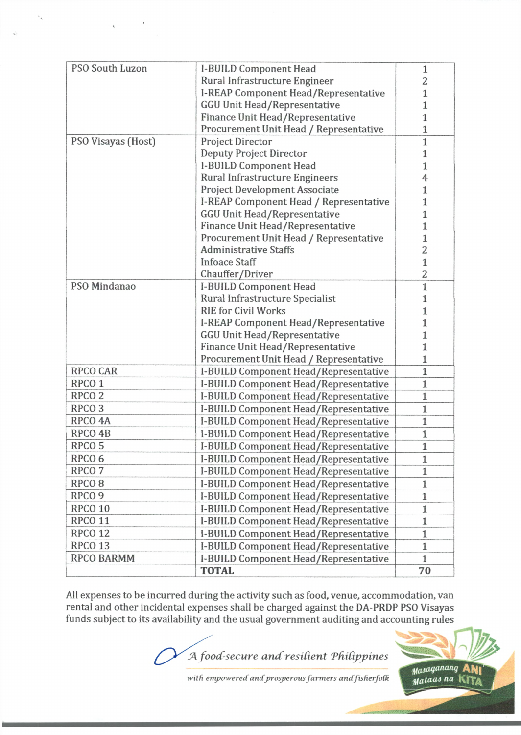| PSO South Luzon    | I-BUILD Component Head                      | $\mathbf{1}$ |
|--------------------|---------------------------------------------|--------------|
|                    | Rural Infrastructure Engineer               | 2            |
|                    | <b>I-REAP Component Head/Representative</b> | $\mathbf{1}$ |
|                    | <b>GGU Unit Head/Representative</b>         | $\mathbf{1}$ |
|                    | Finance Unit Head/Representative            | $\mathbf{1}$ |
|                    | Procurement Unit Head / Representative      | 1            |
| PSO Visayas (Host) | Project Director                            | $\mathbf{1}$ |
|                    | <b>Deputy Project Director</b>              | 1            |
|                    | I-BUILD Component Head                      | $\mathbf{1}$ |
|                    | <b>Rural Infrastructure Engineers</b>       | 4            |
|                    | Project Development Associate               | 1            |
|                    | I-REAP Component Head / Representative      | 1            |
|                    | <b>GGU Unit Head/Representative</b>         | 1            |
|                    | Finance Unit Head/Representative            | 1            |
|                    | Procurement Unit Head / Representative      | 1            |
|                    | <b>Administrative Staffs</b>                | 2            |
|                    | <b>Infoace Staff</b>                        | $\mathbf{1}$ |
|                    | Chauffer/Driver                             | 2            |
| PSO Mindanao       | I-BUILD Component Head                      | $\mathbf{1}$ |
|                    | Rural Infrastructure Specialist             | 1            |
|                    | <b>RIE for Civil Works</b>                  | 1            |
|                    | I-REAP Component Head/Representative        | 1            |
|                    | <b>GGU Unit Head/Representative</b>         | 1            |
|                    | Finance Unit Head/Representative            | 1            |
|                    | Procurement Unit Head / Representative      | 1            |
| <b>RPCO CAR</b>    | I-BUILD Component Head/Representative       | 1            |
| RPCO <sub>1</sub>  | I-BUILD Component Head/Representative       | $\mathbf{1}$ |
| RPCO <sub>2</sub>  | I-BUILD Component Head/Representative       | $\mathbf{1}$ |
| RPCO <sub>3</sub>  | I-BUILD Component Head/Representative       | $\mathbf{1}$ |
| RPCO <sub>4A</sub> | I-BUILD Component Head/Representative       | $\mathbf{1}$ |
| RPCO 4B            | I-BUILD Component Head/Representative       | $\mathbf{1}$ |
| RPCO <sub>5</sub>  | I-BUILD Component Head/Representative       | $\mathbf{1}$ |
| RPCO <sub>6</sub>  | I-BUILD Component Head/Representative       | $\mathbf{1}$ |
| RPCO <sub>7</sub>  | I-BUILD Component Head/Representative       | $\mathbf{1}$ |
| RPCO <sub>8</sub>  | I-BUILD Component Head/Representative       | $\mathbf{1}$ |
| RPCO <sub>9</sub>  | I-BUILD Component Head/Representative       | $\mathbf{1}$ |
| RPCO 10            | I-BUILD Component Head/Representative       | $\mathbf{1}$ |
| RPCO 11            | I-BUILD Component Head/Representative       | $\mathbf{1}$ |
| <b>RPCO 12</b>     | I-BUILD Component Head/Representative       | 1            |
| RPCO <sub>13</sub> | I-BUILD Component Head/Representative       | $\mathbf{1}$ |
| <b>RPCO BARMM</b>  | I-BUILD Component Head/Representative       | $\mathbf{1}$ |
|                    | <b>TOTAL</b>                                | 70           |

 $\ddot{\phantom{0}}$ 

All expenses to be incurred during the activity such as food, venue, accommodation, van rental and other incidental expenses shall be charged against the DA-PRDP PSO Visayas funds subject to its availability and the usual government auditing and accounting rules

J 4 *food-secure and resilient 'Philippines*



*-with empowered andprosperous farmers andfisfierfotk*